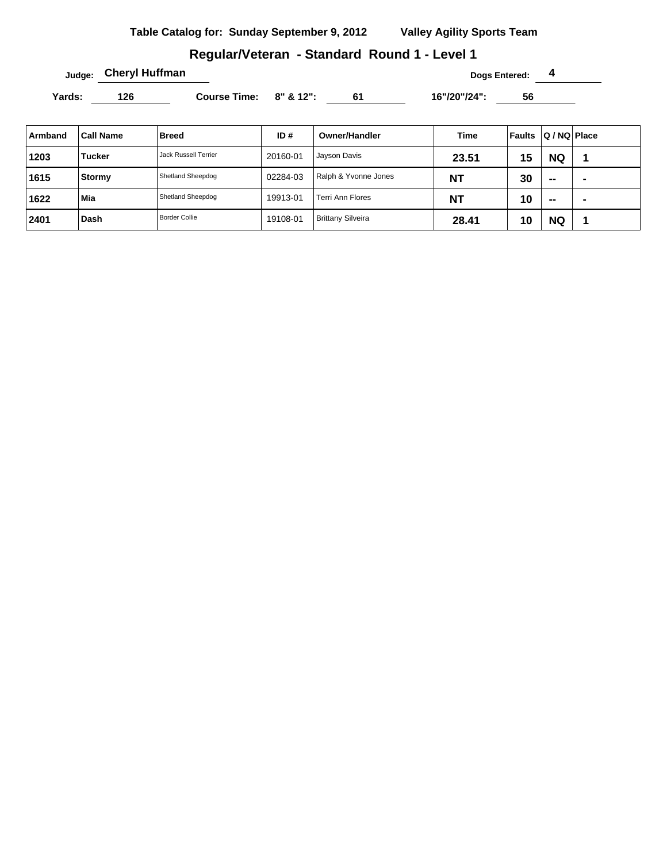## **Regular/Veteran - Standard Round 1 - Level 1**

**Judge: Cheryl Huffman Dogs Entered: 4** 

Yards: 126 **Course Time:** 8" & 12": 61 16"/20"/24": 56

| Armband | <b>Call Name</b> | <b>Breed</b>                | ID#      | <b>Owner/Handler</b>     | Time      | Faults | $ Q/NQ $ Place           |                |
|---------|------------------|-----------------------------|----------|--------------------------|-----------|--------|--------------------------|----------------|
| 1203    | <b>Tucker</b>    | <b>Jack Russell Terrier</b> | 20160-01 | Jayson Davis             | 23.51     | 15     | <b>NQ</b>                |                |
| 1615    | Stormy           | Shetland Sheepdog           | 02284-03 | Ralph & Yvonne Jones     | <b>NT</b> | 30     | $\overline{\phantom{a}}$ | $\blacksquare$ |
| 1622    | Mia              | Shetland Sheepdog           | 19913-01 | <b>Terri Ann Flores</b>  | <b>NT</b> | 10     | $\overline{\phantom{a}}$ | $\blacksquare$ |
| 2401    | Dash             | <b>Border Collie</b>        | 19108-01 | <b>Brittany Silveira</b> | 28.41     | 10     | <b>NQ</b>                |                |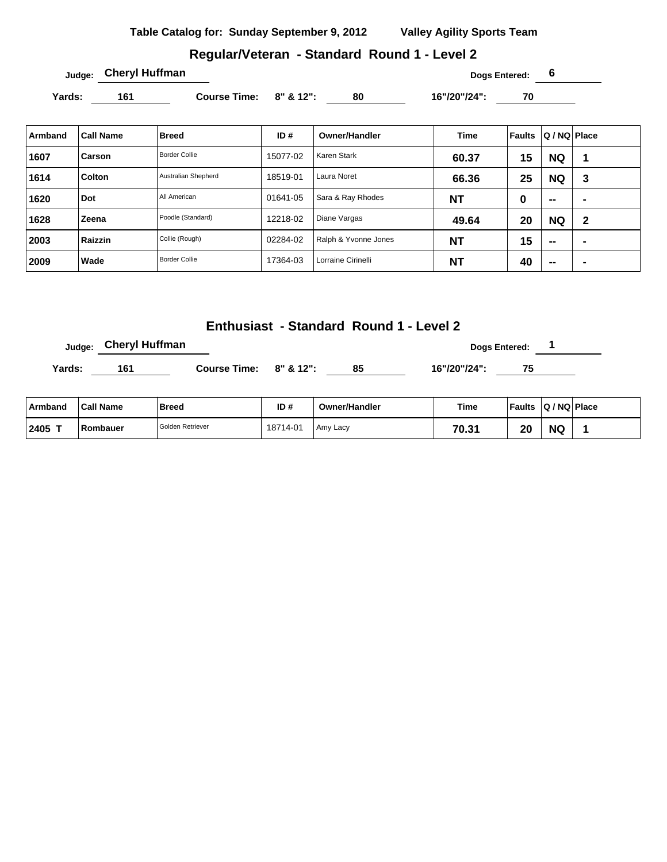### **Regular/Veteran - Standard Round 1 - Level 2**

**Judge: Cheryl Huffman Dogs Entered: 6** 

Yards: 161 **Course Time: 8" & 12":** 80 16"/20"/24": 70 16"/20"/24"

| Armband | <b>Call Name</b> | <b>Breed</b>         | ID#      | <b>Owner/Handler</b> | <b>Time</b> | Faults | Q / NQ Place             |   |
|---------|------------------|----------------------|----------|----------------------|-------------|--------|--------------------------|---|
| 1607    | ⊦Carson          | <b>Border Collie</b> | 15077-02 | Karen Stark          | 60.37       | 15     | <b>NQ</b>                |   |
| 1614    | Colton           | Australian Shepherd  | 18519-01 | Laura Noret          | 66.36       | 25     | <b>NQ</b>                | 3 |
| 1620    | Dot              | All American         | 01641-05 | Sara & Ray Rhodes    | <b>NT</b>   | 0      | $\sim$                   | - |
| 1628    | Zeena            | Poodle (Standard)    | 12218-02 | Diane Vargas         | 49.64       | 20     | <b>NQ</b>                | 2 |
| 2003    | Raizzin          | Collie (Rough)       | 02284-02 | Ralph & Yvonne Jones | <b>NT</b>   | 15     | $\overline{\phantom{a}}$ | - |
| 2009    | Wade             | <b>Border Collie</b> | 17364-03 | Lorraine Cirinelli   | <b>NT</b>   | 40     | $\overline{\phantom{a}}$ | - |

### **Enthusiast - Standard Round 1 - Level 2**

**Judge:** Cheryl Huffman **and Cheryl Huffman Dogs Entered:** 1 **Yards: 161 Course Time: 8" & 12": 85 16"/20"/24": 75** 

| Armband   | <b>Call Name</b> | <b>Breed</b>     | ID#      | <b>Owner/Handler</b> | Time  | <b>Faults</b> | $ Q/NQ $ Place |  |
|-----------|------------------|------------------|----------|----------------------|-------|---------------|----------------|--|
| $12405$ T | Rombauer         | Golden Retriever | 18714-01 | Amy Lacy             | 70.31 | 20            | <b>NG</b>      |  |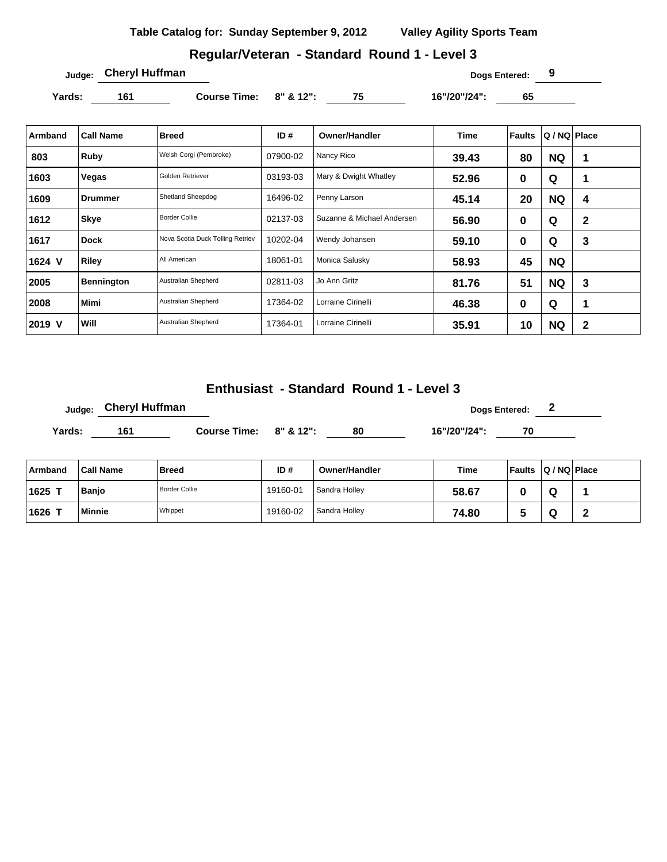# **Regular/Veteran - Standard Round 1 - Level 3**

**Judge: Cheryl Huffman Dogs Entered: 9** 

**Yards: 161 Course Time: 8" & 12": 75 16"/20"/24": 65** 

| Armband | <b>Call Name</b>  | <b>Breed</b>                     | ID#      | Owner/Handler              | Time  | <b>Faults</b> | Q / NQ Place |             |
|---------|-------------------|----------------------------------|----------|----------------------------|-------|---------------|--------------|-------------|
| 803     | Ruby              | Welsh Corgi (Pembroke)           | 07900-02 | Nancy Rico                 | 39.43 | 80            | <b>NQ</b>    | 1           |
| 1603    | Vegas             | Golden Retriever                 | 03193-03 | Mary & Dwight Whatley      | 52.96 | 0             | Q            | 1           |
| 1609    | Drummer           | Shetland Sheepdog                | 16496-02 | Penny Larson               | 45.14 | 20            | <b>NQ</b>    | 4           |
| 1612    | ∣Skye             | <b>Border Collie</b>             | 02137-03 | Suzanne & Michael Andersen | 56.90 | 0             | Q            | $\mathbf 2$ |
| 1617    | Dock              | Nova Scotia Duck Tolling Retriev | 10202-04 | Wendy Johansen             | 59.10 | 0             | Q            | 3           |
| 1624 V  | Riley             | All American                     | 18061-01 | Monica Salusky             | 58.93 | 45            | <b>NQ</b>    |             |
| 2005    | <b>Bennington</b> | Australian Shepherd              | 02811-03 | Jo Ann Gritz               | 81.76 | 51            | <b>NQ</b>    | 3           |
| 2008    | <b>Mimi</b>       | Australian Shepherd              | 17364-02 | Lorraine Cirinelli         | 46.38 | 0             | Q            | 1           |
| 2019 V  | Will              | Australian Shepherd              | 17364-01 | Lorraine Cirinelli         | 35.91 | 10            | <b>NQ</b>    | $\mathbf 2$ |

## **Enthusiast - Standard Round 1 - Level 3**

|               | <b>Cheryl Huffman</b><br>Judge: |                              |      |    | Dogs Entered: 2<br>16"/20"/24":<br>70 |  |   |  |
|---------------|---------------------------------|------------------------------|------|----|---------------------------------------|--|---|--|
| Yards:        | 161                             | Course Time: $8''$ & $12"$ : |      | 80 |                                       |  |   |  |
|               |                                 |                              |      |    |                                       |  |   |  |
| $\sim$ $\sim$ | - - - - -                       |                              | -- - | .  | $-$                                   |  | . |  |

| ⊦Armband | <b>Call Name</b> | <b>Breed</b>         | ID#      | <b>Owner/Handler</b> | Time  | ∣ Faults | $ Q/NQ $ Place |  |
|----------|------------------|----------------------|----------|----------------------|-------|----------|----------------|--|
| 1625     | <b>Banio</b>     | <b>Border Collie</b> | 19160-01 | Sandra Holley        | 58.67 |          |                |  |
| 1626     | <b>Minnie</b>    | Whippet              | 19160-02 | Sandra Holley        | 74.80 |          | ч              |  |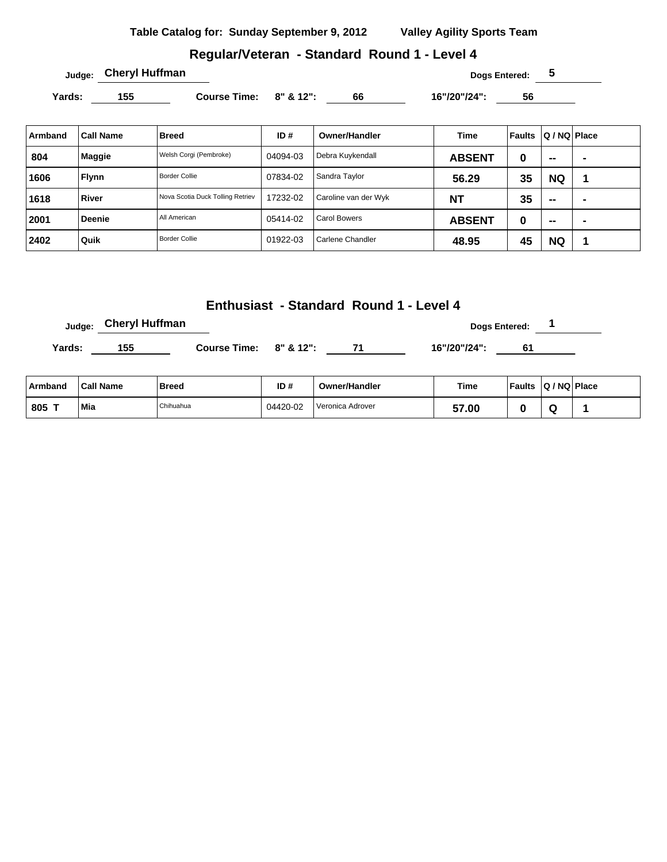### **Regular/Veteran - Standard Round 1 - Level 4**

Yards: 155 **Course Time: 8" & 12":** 66 16"/20"/24": 56

| Armband | <b>Call Name</b> | <b>Breed</b>                     | ID#      | <b>Owner/Handler</b> | Time          | Faults | Q / NQ   Place           |  |
|---------|------------------|----------------------------------|----------|----------------------|---------------|--------|--------------------------|--|
| 804     | Maggie           | Welsh Corgi (Pembroke)           | 04094-03 | Debra Kuykendall     | <b>ABSENT</b> | 0      | $\overline{\phantom{a}}$ |  |
| 1606    | <b>Flynn</b>     | <b>Border Collie</b>             | 07834-02 | Sandra Taylor        | 56.29         | 35     | <b>NQ</b>                |  |
| 1618    | River            | Nova Scotia Duck Tolling Retriev | 17232-02 | Caroline van der Wyk | <b>NT</b>     | 35     | $\overline{\phantom{a}}$ |  |
| 2001    | <b>Deenie</b>    | All American                     | 05414-02 | <b>Carol Bowers</b>  | <b>ABSENT</b> | 0      | --                       |  |
| 2402    | Quik             | <b>Border Collie</b>             | 01922-03 | Carlene Chandler     | 48.95         | 45     | <b>NQ</b>                |  |

#### **Enthusiast - Standard Round 1 - Level 4**

**Judge:** Cheryl Huffman **Dogs Entered:** 1

Yards: 155 **Course Time:** 8" & 12": 71 16"/20"/24": 61

| Armband       | <b>Call Name</b> | Breed     | ID#      | <b>Owner/Handler</b> | Time                 | <b>Faults</b> | Q / NQ Place |  |
|---------------|------------------|-----------|----------|----------------------|----------------------|---------------|--------------|--|
| $1805$ $\tau$ | Mia              | Chihuahua | 04420-02 | l Veronica Adrover   | c7<br>$^{\prime}.00$ |               |              |  |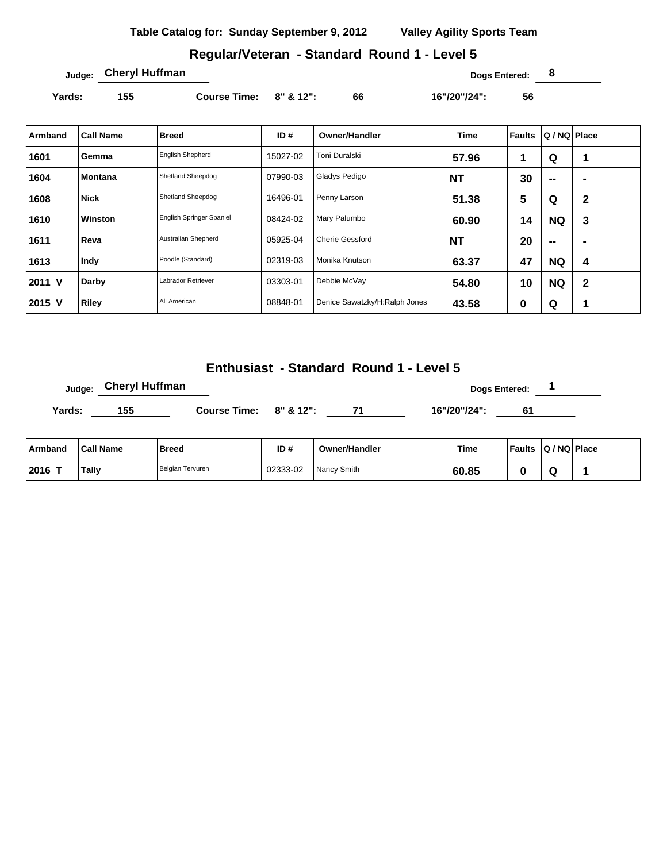# **Regular/Veteran - Standard Round 1 - Level 5**

**Judge: Cheryl Huffman Dogs Entered: 8** 

Yards: 155 **Course Time: 8" & 12":** 66 16"/20"/24": 56

| Armband | <b>Call Name</b> | Breed                    | ID#      | <b>Owner/Handler</b>          | <b>Time</b> | Faults | Q / NQ   Place    |              |
|---------|------------------|--------------------------|----------|-------------------------------|-------------|--------|-------------------|--------------|
| 1601    | Gemma            | <b>English Shepherd</b>  | 15027-02 | Toni Duralski                 | 57.96       | 1      | Q                 | 1            |
| 1604    | Montana          | Shetland Sheepdog        | 07990-03 | Gladys Pedigo                 | <b>NT</b>   | 30     | $-$               | ٠            |
| 1608    | <b>Nick</b>      | Shetland Sheepdog        | 16496-01 | Penny Larson                  | 51.38       | 5      | Q                 | $\mathbf 2$  |
| 1610    | <b>Winston</b>   | English Springer Spaniel | 08424-02 | Mary Palumbo                  | 60.90       | 14     | <b>NQ</b>         | 3            |
| 1611    | Reva             | Australian Shepherd      | 05925-04 | <b>Cherie Gessford</b>        | <b>NT</b>   | 20     | $\hspace{0.05cm}$ | ٠            |
| 1613    | Indy             | Poodle (Standard)        | 02319-03 | Monika Knutson                | 63.37       | 47     | <b>NQ</b>         | 4            |
| 2011 V  | Darby            | Labrador Retriever       | 03303-01 | Debbie McVay                  | 54.80       | 10     | <b>NQ</b>         | $\mathbf{2}$ |
| 2015 V  | <b>Riley</b>     | All American             | 08848-01 | Denice Sawatzky/H:Ralph Jones | 43.58       | 0      | Q                 |              |

# **Enthusiast - Standard Round 1 - Level 5**

|        | <sub>Judge:</sub> Cheryl Huffman |                              |      |              | <b>Dogs Entered:</b> |  |
|--------|----------------------------------|------------------------------|------|--------------|----------------------|--|
| Yards: | 155                              | Course Time: $8''$ & $12"$ : | - 71 | 16"/20"/24": | 61                   |  |
|        |                                  |                              |      |              |                      |  |

| ⊦Armband  | <b>Call Name</b> | <b>Breed</b>     | ID#      | <b>Owner/Handler</b> | Time  | <b>Faults</b> | $ Q/NQ $ Place |  |
|-----------|------------------|------------------|----------|----------------------|-------|---------------|----------------|--|
| $ 2016$ T | Tally            | Belgian Tervuren | 02333-02 | Nancy Smith          | 60.85 |               |                |  |